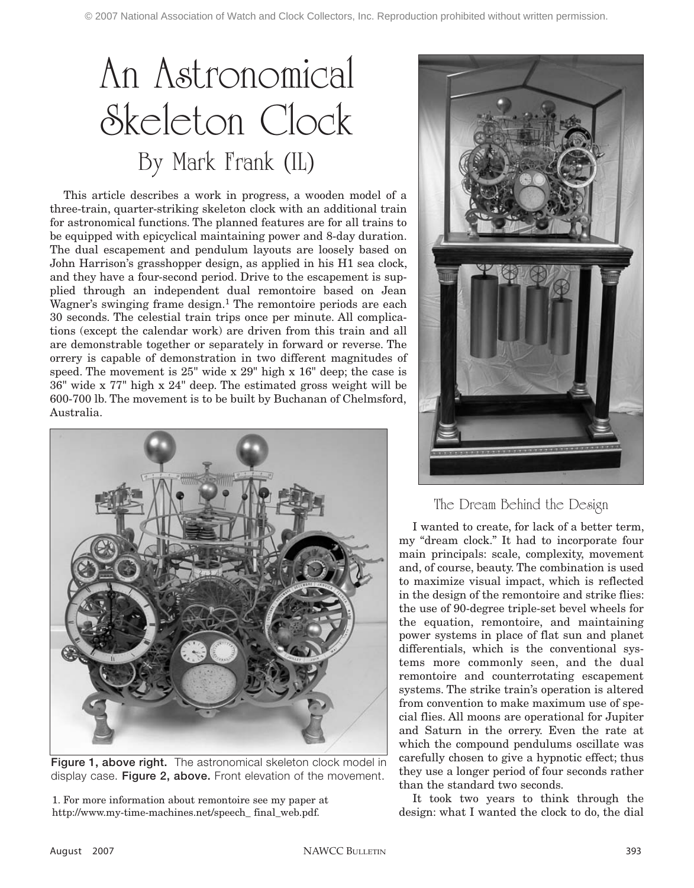# An Astronomical Skeleton Clock By Mark Frank (IL)

This article describes a work in progress, a wooden model of a three-train, quarter-striking skeleton clock with an additional train for astronomical functions. The planned features are for all trains to be equipped with epicyclical maintaining power and 8-day duration. The dual escapement and pendulum layouts are loosely based on John Harrison's grasshopper design, as applied in his H1 sea clock, and they have a four-second period. Drive to the escapement is supplied through an independent dual remontoire based on Jean Wagner's swinging frame design.<sup>1</sup> The remontoire periods are each 30 seconds. The celestial train trips once per minute. All complications (except the calendar work) are driven from this train and all are demonstrable together or separately in forward or reverse. The orrery is capable of demonstration in two different magnitudes of speed. The movement is 25" wide x 29" high x 16" deep; the case is 36" wide x 77" high x 24" deep. The estimated gross weight will be 600-700 lb. The movement is to be built by Buchanan of Chelmsford, Australia.



**Figure 1, above right.** The astronomical skeleton clock model in display case. **Figure 2, above.** Front elevation of the movement.

1. For more information about remontoire see my paper at http://www.my-time-machines.net/speech\_ final\_web.pdf.



## The Dream Behind the Design

I wanted to create, for lack of a better term, my "dream clock." It had to incorporate four main principals: scale, complexity, movement and, of course, beauty. The combination is used to maximize visual impact, which is reflected in the design of the remontoire and strike flies: the use of 90-degree triple-set bevel wheels for the equation, remontoire, and maintaining power systems in place of flat sun and planet differentials, which is the conventional systems more commonly seen, and the dual remontoire and counterrotating escapement systems. The strike train's operation is altered from convention to make maximum use of special flies. All moons are operational for Jupiter and Saturn in the orrery. Even the rate at which the compound pendulums oscillate was carefully chosen to give a hypnotic effect; thus they use a longer period of four seconds rather than the standard two seconds.

It took two years to think through the design: what I wanted the clock to do, the dial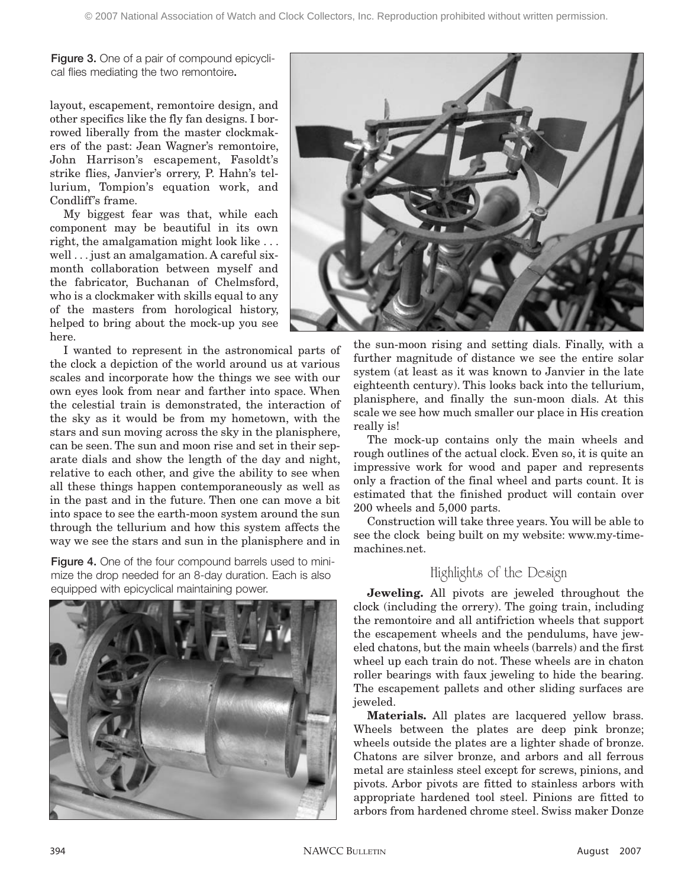**Figure 3.** One of a pair of compound epicyclical flies mediating the two remontoire**.**

layout, escapement, remontoire design, and other specifics like the fly fan designs. I borrowed liberally from the master clockmakers of the past: Jean Wagner's remontoire, John Harrison's escapement, Fasoldt's strike flies, Janvier's orrery, P. Hahn's tellurium, Tompion's equation work, and Condliff's frame.

My biggest fear was that, while each component may be beautiful in its own right, the amalgamation might look like . . . well . . . just an amalgamation. A careful sixmonth collaboration between myself and the fabricator, Buchanan of Chelmsford, who is a clockmaker with skills equal to any of the masters from horological history, helped to bring about the mock-up you see here.

I wanted to represent in the astronomical parts of the clock a depiction of the world around us at various scales and incorporate how the things we see with our own eyes look from near and farther into space. When the celestial train is demonstrated, the interaction of the sky as it would be from my hometown, with the stars and sun moving across the sky in the planisphere, can be seen. The sun and moon rise and set in their separate dials and show the length of the day and night, relative to each other, and give the ability to see when all these things happen contemporaneously as well as in the past and in the future. Then one can move a bit into space to see the earth-moon system around the sun through the tellurium and how this system affects the way we see the stars and sun in the planisphere and in

**Figure 4.** One of the four compound barrels used to minimize the drop needed for an 8-day duration. Each is also equipped with epicyclical maintaining power.





the sun-moon rising and setting dials. Finally, with a further magnitude of distance we see the entire solar system (at least as it was known to Janvier in the late eighteenth century). This looks back into the tellurium, planisphere, and finally the sun-moon dials. At this scale we see how much smaller our place in His creation really is!

The mock-up contains only the main wheels and rough outlines of the actual clock. Even so, it is quite an impressive work for wood and paper and represents only a fraction of the final wheel and parts count. It is estimated that the finished product will contain over 200 wheels and 5,000 parts.

Construction will take three years. You will be able to see the clock being built on my website: www.my-timemachines.net.

#### Highlights of the Design

**Jeweling.** All pivots are jeweled throughout the clock (including the orrery). The going train, including the remontoire and all antifriction wheels that support the escapement wheels and the pendulums, have jeweled chatons, but the main wheels (barrels) and the first wheel up each train do not. These wheels are in chaton roller bearings with faux jeweling to hide the bearing. The escapement pallets and other sliding surfaces are jeweled.

**Materials.** All plates are lacquered yellow brass. Wheels between the plates are deep pink bronze; wheels outside the plates are a lighter shade of bronze. Chatons are silver bronze, and arbors and all ferrous metal are stainless steel except for screws, pinions, and pivots. Arbor pivots are fitted to stainless arbors with appropriate hardened tool steel. Pinions are fitted to arbors from hardened chrome steel. Swiss maker Donze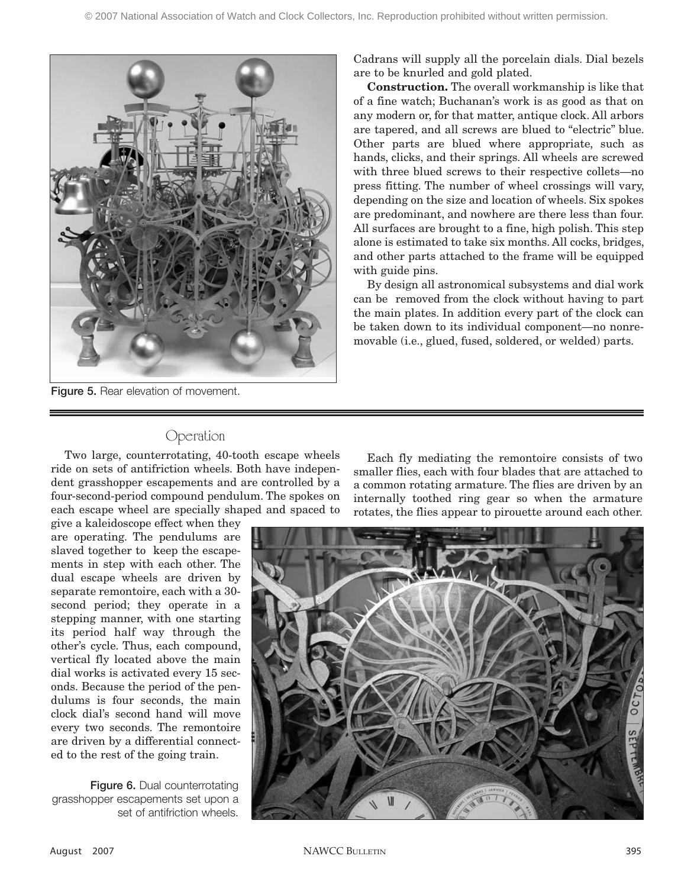

**Figure 5. Rear elevation of movement.** 

Cadrans will supply all the porcelain dials. Dial bezels are to be knurled and gold plated.

**Construction.** The overall workmanship is like that of a fine watch; Buchanan's work is as good as that on any modern or, for that matter, antique clock. All arbors are tapered, and all screws are blued to "electric" blue. Other parts are blued where appropriate, such as hands, clicks, and their springs. All wheels are screwed with three blued screws to their respective collets—no press fitting. The number of wheel crossings will vary, depending on the size and location of wheels. Six spokes are predominant, and nowhere are there less than four. All surfaces are brought to a fine, high polish. This step alone is estimated to take six months. All cocks, bridges, and other parts attached to the frame will be equipped with guide pins.

By design all astronomical subsystems and dial work can be removed from the clock without having to part the main plates. In addition every part of the clock can be taken down to its individual component—no nonremovable (i.e., glued, fused, soldered, or welded) parts.

#### Operation

Two large, counterrotating, 40-tooth escape wheels ride on sets of antifriction wheels. Both have independent grasshopper escapements and are controlled by a four-second-period compound pendulum. The spokes on each escape wheel are specially shaped and spaced to

give a kaleidoscope effect when they are operating. The pendulums are slaved together to keep the escapements in step with each other. The dual escape wheels are driven by separate remontoire, each with a 30 second period; they operate in a stepping manner, with one starting its period half way through the other's cycle. Thus, each compound, vertical fly located above the main dial works is activated every 15 seconds. Because the period of the pendulums is four seconds, the main clock dial's second hand will move every two seconds. The remontoire are driven by a differential connected to the rest of the going train.

**Figure 6. Dual counterrotating** grasshopper escapements set upon a set of antifriction wheels.

Each fly mediating the remontoire consists of two smaller flies, each with four blades that are attached to a common rotating armature. The flies are driven by an internally toothed ring gear so when the armature rotates, the flies appear to pirouette around each other.

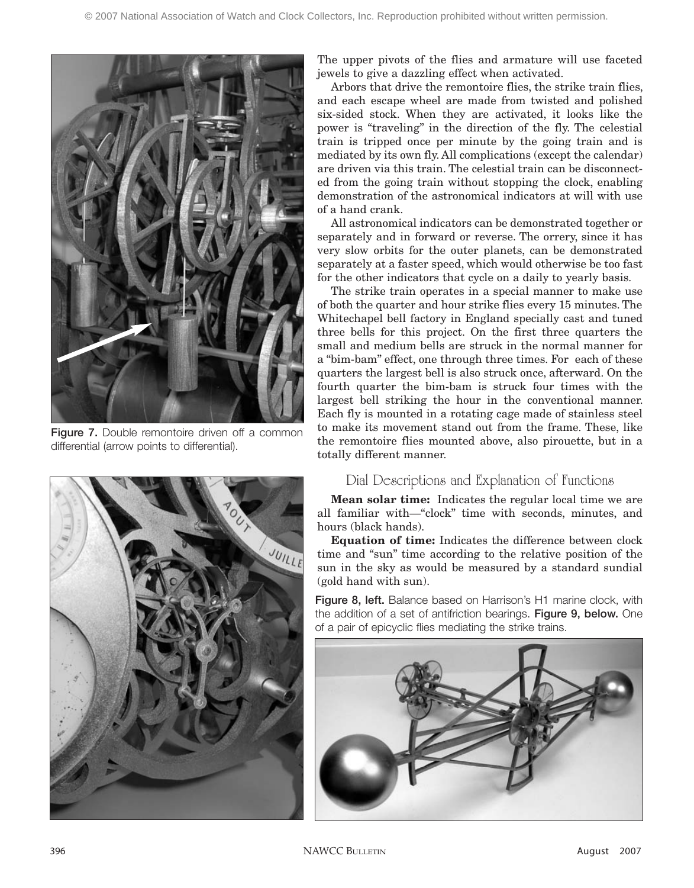

Figure 7. Double remontoire driven off a common differential (arrow points to differential).



The upper pivots of the flies and armature will use faceted jewels to give a dazzling effect when activated.

Arbors that drive the remontoire flies, the strike train flies, and each escape wheel are made from twisted and polished six-sided stock. When they are activated, it looks like the power is "traveling" in the direction of the fly. The celestial train is tripped once per minute by the going train and is mediated by its own fly. All complications (except the calendar) are driven via this train. The celestial train can be disconnected from the going train without stopping the clock, enabling demonstration of the astronomical indicators at will with use of a hand crank.

All astronomical indicators can be demonstrated together or separately and in forward or reverse. The orrery, since it has very slow orbits for the outer planets, can be demonstrated separately at a faster speed, which would otherwise be too fast for the other indicators that cycle on a daily to yearly basis.

The strike train operates in a special manner to make use of both the quarter and hour strike flies every 15 minutes. The Whitechapel bell factory in England specially cast and tuned three bells for this project. On the first three quarters the small and medium bells are struck in the normal manner for a "bim-bam" effect, one through three times. For each of these quarters the largest bell is also struck once, afterward. On the fourth quarter the bim-bam is struck four times with the largest bell striking the hour in the conventional manner. Each fly is mounted in a rotating cage made of stainless steel to make its movement stand out from the frame. These, like the remontoire flies mounted above, also pirouette, but in a totally different manner.

### Dial Descriptions and Explanation of Functions

**Mean solar time:** Indicates the regular local time we are all familiar with—"clock" time with seconds, minutes, and hours (black hands).

**Equation of time:** Indicates the difference between clock time and "sun" time according to the relative position of the sun in the sky as would be measured by a standard sundial (gold hand with sun).

**Figure 8, left.** Balance based on Harrison's H1 marine clock, with the addition of a set of antifriction bearings. **Figure 9, below.** One of a pair of epicyclic flies mediating the strike trains.

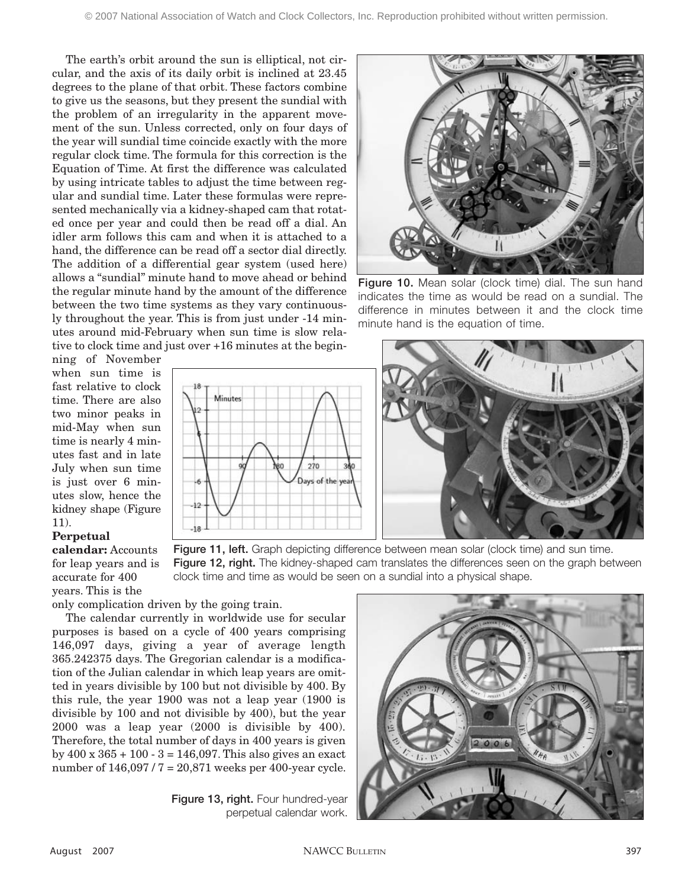The earth's orbit around the sun is elliptical, not circular, and the axis of its daily orbit is inclined at 23.45 degrees to the plane of that orbit. These factors combine to give us the seasons, but they present the sundial with the problem of an irregularity in the apparent movement of the sun. Unless corrected, only on four days of the year will sundial time coincide exactly with the more regular clock time. The formula for this correction is the Equation of Time. At first the difference was calculated by using intricate tables to adjust the time between regular and sundial time. Later these formulas were represented mechanically via a kidney-shaped cam that rotated once per year and could then be read off a dial. An idler arm follows this cam and when it is attached to a hand, the difference can be read off a sector dial directly. The addition of a differential gear system (used here) allows a "sundial" minute hand to move ahead or behind the regular minute hand by the amount of the difference between the two time systems as they vary continuously throughout the year. This is from just under -14 minutes around mid-February when sun time is slow relative to clock time and just over +16 minutes at the begin-

Minutes

270

Days of the yea

٥Ó



**Figure 10.** Mean solar (clock time) dial. The sun hand indicates the time as would be read on a sundial. The difference in minutes between it and the clock time minute hand is the equation of time.

ning of November when sun time is fast relative to clock time. There are also two minor peaks in mid-May when sun time is nearly 4 minutes fast and in late July when sun time is just over 6 minutes slow, hence the kidney shape (Figure 11).

#### **Perpetual**

**calendar:** Accounts for leap years and is accurate for 400 years. This is the

only complication driven by the going train.

The calendar currently in worldwide use for secular purposes is based on a cycle of 400 years comprising 146,097 days, giving a year of average length 365.242375 days. The Gregorian calendar is a modification of the Julian calendar in which leap years are omitted in years divisible by 100 but not divisible by 400. By this rule, the year 1900 was not a leap year (1900 is divisible by 100 and not divisible by 400), but the year 2000 was a leap year (2000 is divisible by 400). Therefore, the total number of days in 400 years is given by 400 x 365 + 100 - 3 = 146,097. This also gives an exact number of 146,097 / 7 = 20,871 weeks per 400-year cycle.

> Figure 13, right. Four hundred-year perpetual calendar work.



**Figure 11, left.** Graph depicting difference between mean solar (clock time) and sun time. **Figure 12, right.** The kidney-shaped cam translates the differences seen on the graph between clock time and time as would be seen on a sundial into a physical shape.

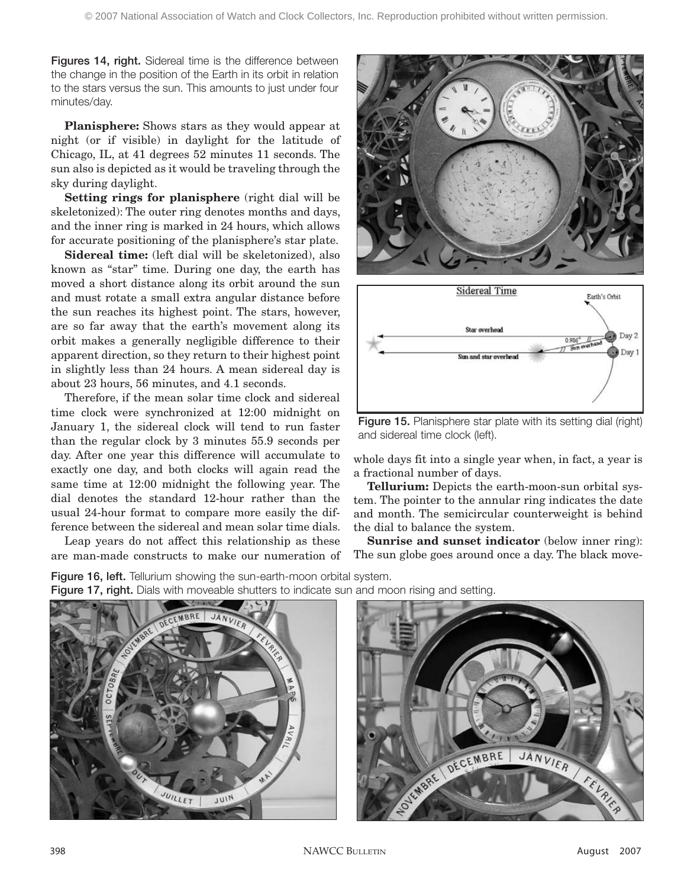**Figures 14, right.** Sidereal time is the difference between the change in the position of the Earth in its orbit in relation to the stars versus the sun. This amounts to just under four minutes/day.

**Planisphere:** Shows stars as they would appear at night (or if visible) in daylight for the latitude of Chicago, IL, at 41 degrees 52 minutes 11 seconds. The sun also is depicted as it would be traveling through the sky during daylight.

**Setting rings for planisphere** (right dial will be skeletonized): The outer ring denotes months and days, and the inner ring is marked in 24 hours, which allows for accurate positioning of the planisphere's star plate.

**Sidereal time:** (left dial will be skeletonized), also known as "star" time. During one day, the earth has moved a short distance along its orbit around the sun and must rotate a small extra angular distance before the sun reaches its highest point. The stars, however, are so far away that the earth's movement along its orbit makes a generally negligible difference to their apparent direction, so they return to their highest point in slightly less than 24 hours. A mean sidereal day is about 23 hours, 56 minutes, and 4.1 seconds.

Therefore, if the mean solar time clock and sidereal time clock were synchronized at 12:00 midnight on January 1, the sidereal clock will tend to run faster than the regular clock by 3 minutes 55.9 seconds per day. After one year this difference will accumulate to exactly one day, and both clocks will again read the same time at 12:00 midnight the following year. The dial denotes the standard 12-hour rather than the usual 24-hour format to compare more easily the difference between the sidereal and mean solar time dials.

Leap years do not affect this relationship as these are man-made constructs to make our numeration of





**Figure 15.** Planisphere star plate with its setting dial (right) and sidereal time clock (left).

whole days fit into a single year when, in fact, a year is a fractional number of days.

**Tellurium:** Depicts the earth-moon-sun orbital system. The pointer to the annular ring indicates the date and month. The semicircular counterweight is behind the dial to balance the system.

**Sunrise and sunset indicator** (below inner ring): The sun globe goes around once a day. The black move-

**Figure 16, left.** Tellurium showing the sun-earth-moon orbital system. **Figure 17, right.** Dials with moveable shutters to indicate sun and moon rising and setting.



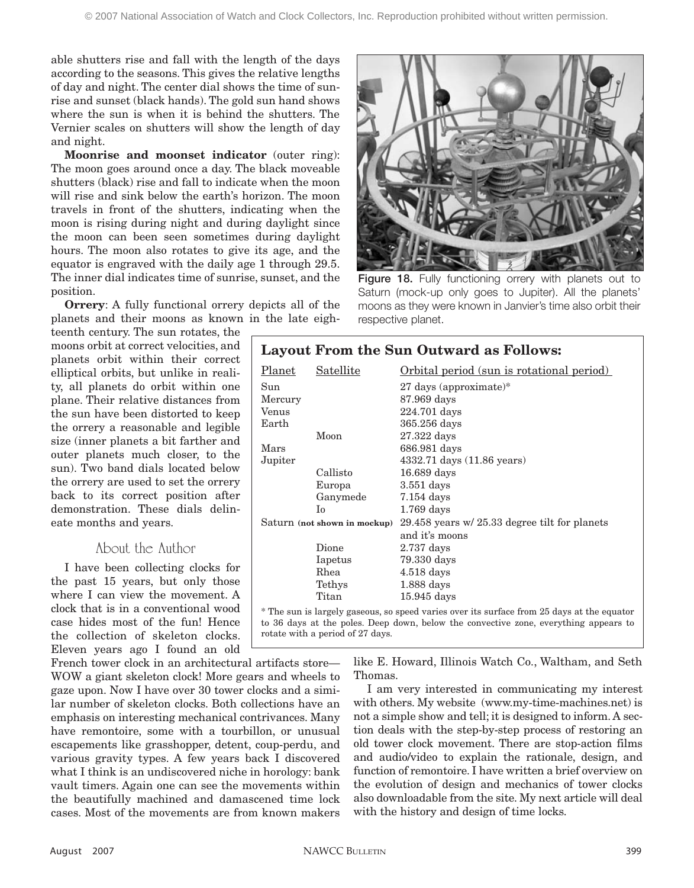able shutters rise and fall with the length of the days according to the seasons. This gives the relative lengths of day and night. The center dial shows the time of sunrise and sunset (black hands). The gold sun hand shows where the sun is when it is behind the shutters. The Vernier scales on shutters will show the length of day and night.

**Moonrise and moonset indicator** (outer ring): The moon goes around once a day. The black moveable shutters (black) rise and fall to indicate when the moon will rise and sink below the earth's horizon. The moon travels in front of the shutters, indicating when the moon is rising during night and during daylight since the moon can been seen sometimes during daylight hours. The moon also rotates to give its age, and the equator is engraved with the daily age 1 through 29.5. The inner dial indicates time of sunrise, sunset, and the position.

**Orrery:** A fully functional orrery depicts all of the planets and their moons as known in the late eigh-

teenth century. The sun rotates, the moons orbit at correct velocities, and planets orbit within their correct elliptical orbits, but unlike in reality, all planets do orbit within one plane. Their relative distances from the sun have been distorted to keep the orrery a reasonable and legible size (inner planets a bit farther and outer planets much closer, to the sun). Two band dials located below the orrery are used to set the orrery back to its correct position after demonstration. These dials delineate months and years.

#### About the Author

I have been collecting clocks for the past 15 years, but only those where I can view the movement. A clock that is in a conventional wood case hides most of the fun! Hence the collection of skeleton clocks. Eleven years ago I found an old

French tower clock in an architectural artifacts store— WOW a giant skeleton clock! More gears and wheels to gaze upon. Now I have over 30 tower clocks and a similar number of skeleton clocks. Both collections have an emphasis on interesting mechanical contrivances. Many have remontoire, some with a tourbillon, or unusual escapements like grasshopper, detent, coup-perdu, and various gravity types. A few years back I discovered what I think is an undiscovered niche in horology: bank vault timers. Again one can see the movements within the beautifully machined and damascened time lock cases. Most of the movements are from known makers



Figure 18. Fully functioning orrery with planets out to Saturn (mock-up only goes to Jupiter). All the planets' moons as they were known in Janvier's time also orbit their respective planet.

| <b>Layout From the Sun Outward as Follows:</b>                                                                                                                                     |           |                                               |
|------------------------------------------------------------------------------------------------------------------------------------------------------------------------------------|-----------|-----------------------------------------------|
| Planet                                                                                                                                                                             | Satellite | Orbital period (sun is rotational period)     |
| Sun                                                                                                                                                                                |           | $27 \text{ days}$ (approximate)*              |
| Mercury                                                                                                                                                                            |           | 87.969 days                                   |
| Venus                                                                                                                                                                              |           | 224.701 days                                  |
| Earth                                                                                                                                                                              |           | 365.256 days                                  |
|                                                                                                                                                                                    | Moon      | 27.322 days                                   |
| Mars                                                                                                                                                                               |           | 686.981 days                                  |
| Jupiter                                                                                                                                                                            |           | 4332.71 days (11.86 years)                    |
|                                                                                                                                                                                    | Callisto  | 16.689 days                                   |
|                                                                                                                                                                                    | Europa    | $3.551$ days                                  |
|                                                                                                                                                                                    | Ganymede  | $7.154$ days                                  |
|                                                                                                                                                                                    | Iο.       | $1.769$ days                                  |
| Saturn (not shown in mockup)                                                                                                                                                       |           | 29.458 years w/ 25.33 degree tilt for planets |
|                                                                                                                                                                                    |           | and it's moons                                |
|                                                                                                                                                                                    | Dione     | $2.737$ days                                  |
|                                                                                                                                                                                    | Iapetus   | 79.330 days                                   |
|                                                                                                                                                                                    | Rhea      | $4.518$ days                                  |
|                                                                                                                                                                                    | Tethys    | $1.888$ days                                  |
|                                                                                                                                                                                    | Titan     | $15.945$ days                                 |
| * The sun is largely gaseous, so speed varies over its surface from 25 days at the equator<br>to 36 days at the poles. Deep down, below the convective zone, everything appears to |           |                                               |

like E. Howard, Illinois Watch Co., Waltham, and Seth Thomas.

I am very interested in communicating my interest with others. My website (www.my-time-machines.net) is not a simple show and tell; it is designed to inform. A section deals with the step-by-step process of restoring an old tower clock movement. There are stop-action films and audio/video to explain the rationale, design, and function of remontoire. I have written a brief overview on the evolution of design and mechanics of tower clocks also downloadable from the site. My next article will deal with the history and design of time locks.

rotate with a period of 27 days.